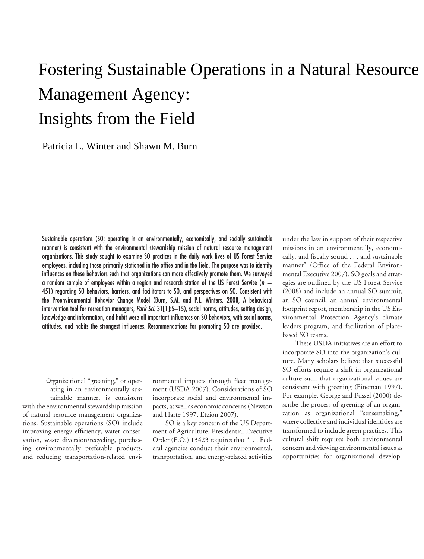# Fostering Sustainable Operations in a Natural Resource Management Agency: Insights from the Field

Patricia L. Winter and Shawn M. Burn

Sustainable operations (SO; operating in an environmentally, economically, and socially sustainable manner) is consistent with the environmental stewardship mission of natural resource management organizations. This study sought to examine SO practices in the daily work lives of US Forest Service employees, including those primarily stationed in the office and in the field. The purpose was to identify influences on these behaviors such that organizations can more effectively promote them. We surveyed a random sample of employees within a region and research station of the US Forest Service (*n* � 451) regarding SO behaviors, barriers, and facilitators to SO, and perspectives on SO. Consistent with the Proenvironmental Behavior Change Model (Burn, S.M. and P.L. Winters. 2008, A behavioral intervention tool for recreation managers, *Park Sci.* 31[1]:5–15), social norms, attitudes, setting design, knowledge and information, and habit were all important influences on SO behaviors, with social norms, attitudes, and habits the strongest influences. Recommendations for promoting SO are provided.

with the environmental stewardship mission pacts, as well as economic concerns (Newton of natural resource management organiza- and Harte 1997, Etzion 2007). tions. Sustainable operations (SO) include SO is a key concern of the US Departimproving energy efficiency, water conser- ment of Agriculture. Presidential Executive vation, waste diversion/recycling, purchas-<br>
order (E.O.) 13423 requires that "... Fed-<br>
ing environmentally preferable products, eral agencies conduct their environmental, ing environmentally preferable products, and reducing transportation-related envi- transportation, and energy-related activities opportunities for organizational develop-Organizational "greening," or oper-

ronmental impacts through fleet manageating in an environmentally sus-<br>tainable manner, is consistent incorporate social and environmental imincorporate social and environmental im-

under the law in support of their respective missions in an environmentally, economically, and fiscally sound . . . and sustainable manner" (Office of the Federal Environmental Executive 2007). SO goals and strategies are outlined by the US Forest Service (2008) and include an annual SO summit, an SO council, an annual environmental footprint report, membership in the US Environmental Protection Agency's climate leaders program, and facilitation of placebased SO teams.

These USDA initiatives are an effort to incorporate SO into the organization's culture. Many scholars believe that successful SO efforts require a shift in organizational culture such that organizational values are consistent with greening (Fineman 1997). For example, George and Fussel (2000) describe the process of greening of an organization as organizational "sensemaking," where collective and individual identities are transformed to include green practices. This cultural shift requires both environmental concern and viewing environmental issues as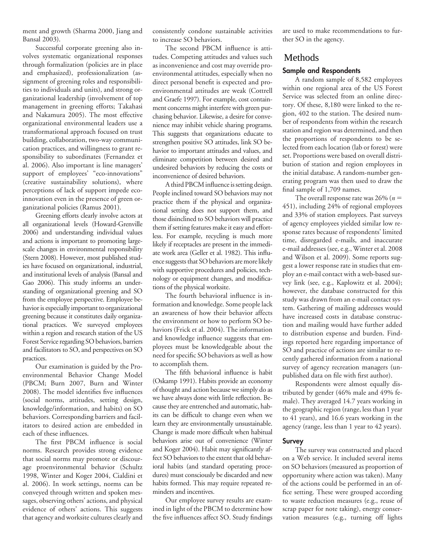ment and growth (Sharma 2000, Jiang and Bansal 2003).

Successful corporate greening also involves systematic organizational responses through formalization (policies are in place and emphasized), professionalization (assignment of greening roles and responsibilities to individuals and units), and strong organizational leadership (involvement of top management in greening efforts; Takahasi and Nakamura 2005). The most effective organizational environmental leaders use a transformational approach focused on trust building, collaboration, two-way communication practices, and willingness to grant responsibility to subordinates (Fernandez et al. 2006). Also important is line managers' support of employees' "eco-innovations" (creative sustainability solutions), where perceptions of lack of support impede ecoinnovation even in the presence of green organizational policies (Ramus 2001).

Greening efforts clearly involve actors at all organizational levels (Howard-Grenville 2006) and understanding individual values and actions is important to promoting largescale changes in environmental responsibility (Stern 2008). However, most published studies have focused on organizational, industrial, and institutional levels of analysis (Bansal and Gao 2006). This study informs an understanding of organizational greening and SO from the employee perspective. Employee behavior is especially important to organizational greening because it constitutes daily organizational practices. We surveyed employees within a region and research station of the US Forest Service regarding SO behaviors, barriers and facilitators to SO, and perspectives on SO practices.

Our examination is guided by the Proenvironmental Behavior Change Model (PBCM; Burn 2007, Burn and Winter 2008). The model identifies five influences (social norms, attitudes, setting design, knowledge/information, and habits) on SO behaviors. Corresponding barriers and facilitators to desired action are embedded in each of these influences.

The first PBCM influence is social norms. Research provides strong evidence that social norms may promote or discourage proenvironmental behavior (Schultz 1998, Winter and Koger 2004, Cialdini et al. 2006). In work settings, norms can be conveyed through written and spoken messages, observing others' actions, and physical evidence of others' actions. This suggests that agency and worksite cultures clearly and

consistently condone sustainable activities to increase SO behaviors.

The second PBCM influence is attitudes. Competing attitudes and values such as inconvenience and cost may override proenvironmental attitudes, especially when no direct personal benefit is expected and proenvironmental attitudes are weak (Cottrell and Graefe 1997). For example, cost containment concerns might interfere with green purchasing behavior. Likewise, a desire for convenience may inhibit vehicle sharing programs. This suggests that organizations educate to strengthen positive SO attitudes, link SO behavior to important attitudes and values, and eliminate competition between desired and undesired behaviors by reducing the costs or inconvenience of desired behaviors.

A third PBCM influence is setting design. People inclined toward SO behaviors may not practice them if the physical and organizational setting does not support them, and those disinclined to SO behaviors will practice them if setting features make it easy and effortless. For example, recycling is much more likely if receptacles are present in the immediate work area (Geller et al. 1982). This influence suggests that SO behaviors are more likely with supportive procedures and policies, technology or equipment changes, and modifications of the physical worksite.

The fourth behavioral influence is information and knowledge. Some people lack an awareness of how their behavior affects the environment or how to perform SO behaviors (Frick et al. 2004). The information and knowledge influence suggests that employees must be knowledgeable about the need for specific SO behaviors as well as how to accomplish them.

The fifth behavioral influence is habit (Oskamp 1991). Habits provide an economy of thought and action because we simply do as we have always done with little reflection. Because they are entrenched and automatic, habits can be difficult to change even when we learn they are environmentally unsustainable. Change is made more difficult when habitual behaviors arise out of convenience (Winter and Koger 2004). Habit may significantly affect SO behaviors to the extent that old behavioral habits (and standard operating procedures) must consciously be discarded and new habits formed. This may require repeated reminders and incentives.

Our employee survey results are examined in light of the PBCM to determine how the five influences affect SO. Study findings are used to make recommendations to further SO in the agency.

### Methods

#### **Sample and Respondents**

A random sample of 8,582 employees within one regional area of the US Forest Service was selected from an online directory. Of these, 8,180 were linked to the region, 402 to the station. The desired number of respondents from within the research station and region was determined, and then the proportions of respondents to be selected from each location (lab or forest) were set. Proportions were based on overall distribution of station and region employees in the initial database. A random-number generating program was then used to draw the final sample of 1,709 names.

The overall response rate was  $26\%$  ( $n =$ 451), including 24% of regional employees and 33% of station employees. Past surveys of agency employees yielded similar low response rates because of respondents' limited time, disregarded e-mails, and inaccurate e-mail addresses (see, e.g., Winter et al. 2008 and Wilson et al. 2009). Some reports suggest a lower response rate in studies that employ an e-mail contact with a web-based survey link (see, e.g., Kaplowitz et al. 2004); however, the database constructed for this study was drawn from an e-mail contact system. Gathering of mailing addresses would have increased costs in database construction and mailing would have further added to distribution expense and burden. Findings reported here regarding importance of SO and practice of actions are similar to recently gathered information from a national survey of agency recreation managers (unpublished data on file with first author).

Respondents were almost equally distributed by gender (46% male and 49% female). They averaged 14.7 years working in the geographic region (range, less than 1 year to 41 years), and 16.6 years working in the agency (range, less than 1 year to 42 years).

#### **Survey**

The survey was constructed and placed on a Web service. It included several items on SO behaviors (measured as proportion of opportunity where action was taken). Many of the actions could be performed in an office setting. These were grouped according to waste reduction measures (e.g., reuse of scrap paper for note taking), energy conservation measures (e.g., turning off lights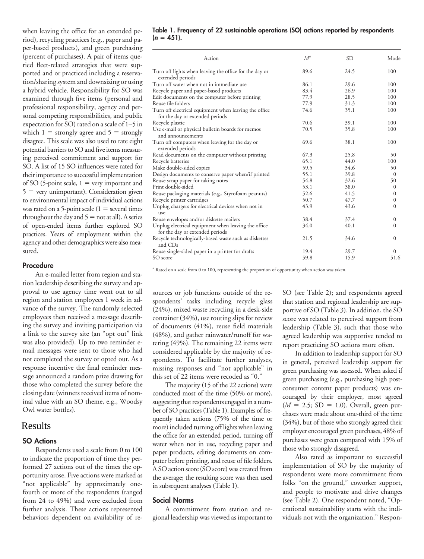when leaving the office for an extended period), recycling practices (e.g., paper and paper-based products), and green purchasing (percent of purchases). A pair of items queried fleet-related strategies that were supported and or practiced including a reservation/sharing system and downsizing or using a hybrid vehicle. Responsibility for SO was examined through five items (personal and professional responsibility, agency and personal competing responsibilities, and public expectation for SO) rated on a scale of 1–5 in which  $1 =$  strongly agree and  $5 =$  strongly disagree. This scale was also used to rate eight potential barriers to SO and five items measuring perceived commitment and support for SO. A list of 15 SO influences were rated for their importance to successful implementation of SO (5-point scale,  $1 = \text{very important}$  and  $5 =$  very unimportant). Consideration given to environmental impact of individual actions was rated on a 5-point scale  $(1 =$  several times throughout the day and  $5 =$  not at all). A series of open-ended items further explored SO practices. Years of employment within the agency and other demographics were also measured.

#### **Procedure**

An e-mailed letter from region and station leadership describing the survey and approval to use agency time went out to all region and station employees 1 week in advance of the survey. The randomly selected employees then received a message describing the survey and inviting participation via a link to the survey site (an "opt out" link was also provided). Up to two reminder email messages were sent to those who had not completed the survey or opted out. As a response incentive the final reminder message announced a random prize drawing for those who completed the survey before the closing date (winners received items of nominal value with an SO theme, e.g., Woodsy Owl water bottles).

#### Results

#### **SO Actions**

Respondents used a scale from 0 to 100 to indicate the proportion of time they performed 27 actions out of the times the opportunity arose. Five actions were marked as "not applicable" by approximately onefourth or more of the respondents (ranged from 24 to 49%) and were excluded from further analysis. These actions represented behaviors dependent on availability of re-

#### **Table 1. Frequency of 22 sustainable operations (SO) actions reported by respondents**  $(n = 451)$ .

| Action                                                                                   | $M^a$ | <b>SD</b> | Mode         |
|------------------------------------------------------------------------------------------|-------|-----------|--------------|
| Turn off lights when leaving the office for the day or<br>extended periods               | 89.6  | 24.5      | 100          |
| Turn off water when not in immediate use                                                 | 86.1  | 29.6      | 100          |
| Recycle paper and paper-based products                                                   | 83.4  | 26.9      | 100          |
| Edit documents on the computer before printing                                           | 77.9  | 28.5      | 100          |
| Reuse file folders                                                                       | 77.9  | 31.3      | 100          |
| Turn off electrical equipment when leaving the office<br>for the day or extended periods | 74.6  | 35.1      | 100          |
| Recycle plastic                                                                          | 70.6  | 39.1      | 100          |
| Use e-mail or physical bulletin boards for memos<br>and announcements                    | 70.5  | 35.8      | 100          |
| Turn off computers when leaving for the day or<br>extended periods                       | 69.6  | 38.1      | 100          |
| Read documents on the computer without printing                                          | 67.3  | 25.8      | 50           |
| Recycle batteries                                                                        | 65.1  | 44.0      | 100          |
| Make double-sided copies                                                                 | 59.5  | 34.6      | 50           |
| Design documents to conserve paper when/if printed                                       | 55.1  | 39.8      | $\mathbf{0}$ |
| Reuse scrap paper for taking notes                                                       | 54.8  | 32.6      | 50           |
| Print double-sided                                                                       | 53.1  | 38.0      | $\mathbf{0}$ |
| Reuse packaging materials (e.g., Styrofoam peanuts)                                      | 52.6  | 41.5      | $\Omega$     |
| Recycle printer cartridges                                                               | 50.7  | 47.7      | $\Omega$     |
| Unplug chargers for electrical devices when not in<br>use                                | 43.9  | 43.6      | $\Omega$     |
| Reuse envelopes and/or diskette mailers                                                  | 38.4  | 37.4      | $\Omega$     |
| Unplug electrical equipment when leaving the office<br>for the day or extended periods   | 34.0  | 40.1      | $\Omega$     |
| Recycle technologically-based waste such as diskettes<br>and CDs                         | 21.5  | 34.6      | $\Omega$     |
| Reuse single-sided paper in a printer for drafts                                         | 19.4  | 29.7      | $\Omega$     |
| SO score                                                                                 | 59.8  | 15.9      | 51.6         |

*<sup>a</sup>* Rated on a scale from 0 to 100, representing the proportion of opportunity when action was taken.

sources or job functions outside of the respondents' tasks including recycle glass (24%), mixed waste recycling in a desk-side container (34%), use routing slips for review of documents (41%), reuse field materials (48%), and gather rainwater/runoff for watering (49%). The remaining 22 items were considered applicable by the majority of respondents. To facilitate further analyses, missing responses and "not applicable" in this set of 22 items were recoded as "0."

The majority (15 of the 22 actions) were conducted most of the time (50% or more), suggesting that respondents engaged in a number of SO practices (Table 1). Examples of frequently taken actions (75% of the time or more) included turning off lights when leaving the office for an extended period, turning off water when not in use, recycling paper and paper products, editing documents on computer before printing, and reuse of file folders. A SO action score (SO score) was created from the average; the resulting score was then used in subsequent analyses (Table 1).

#### **Social Norms**

A commitment from station and regional leadership was viewed as important to SO (see Table 2); and respondents agreed that station and regional leadership are supportive of SO (Table 3). In addition, the SO score was related to perceived support from leadership (Table 3), such that those who agreed leadership was supportive tended to report practicing SO actions more often.

In addition to leadership support for SO in general, perceived leadership support for green purchasing was assessed. When asked if green purchasing (e.g., purchasing high postconsumer content paper products) was encouraged by their employer, most agreed  $(M = 2.5; SD = 1.0)$ . Overall, green purchases were made about one-third of the time (34%), but of those who strongly agreed their employer encouraged green purchases, 48% of purchases were green compared with 15% of those who strongly disagreed.

Also rated as important to successful implementation of SO by the majority of respondents were more commitment from folks "on the ground," coworker support, and people to motivate and drive changes (see Table 2). One respondent noted, "Operational sustainability starts with the individuals not with the organization." Respon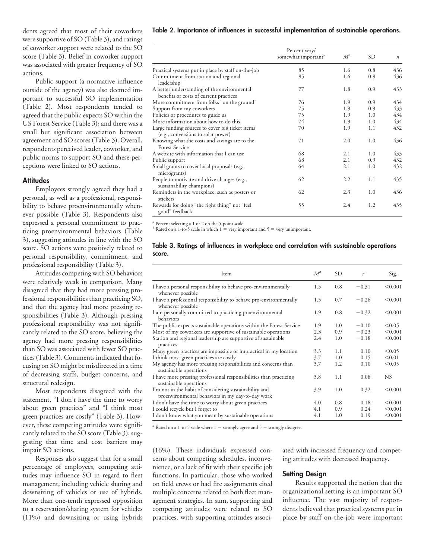were supportive of SO (Table 3), and ratings of coworker support were related to the SO score (Table 3). Belief in coworker support was associated with greater frequency of SO actions.

Public support (a normative influence outside of the agency) was also deemed important to successful SO implementation (Table 2). Most respondents tended to agreed that the public expects SO within the US Forest Service (Table 3); and there was a small but significant association between agreement and SO scores (Table 3). Overall, respondents perceived leader, coworker, and public norms to support SO and these perceptions were linked to SO actions.

#### **Attitudes**

Employees strongly agreed they had a personal, as well as a professional, responsibility to behave proenvironmentally whenever possible (Table 3). Respondents also expressed a personal commitment to practicing proenvironmental behaviors (Table 3), suggesting attitudes in line with the SO score. SO actions were positively related to personal responsibility, commitment, and professional responsibility (Table 3).

Attitudes competing with SO behaviors were relatively weak in comparison. Many disagreed that they had more pressing professional responsibilities than practicing SO, and that the agency had more pressing responsibilities (Table 3). Although pressing professional responsibility was not significantly related to the SO score, believing the agency had more pressing responsibilities than SO was associated with fewer SO practices (Table 3). Comments indicated that focusing on SO might be misdirected in a time of decreasing staffs, budget concerns, and structural redesign.

Most respondents disagreed with the statement, "I don't have the time to worry about green practices" and "I think most green practices are costly" (Table 3). However, these competing attitudes were significantly related to the SO score (Table 3), suggesting that time and cost barriers may impair SO actions.

Responses also suggest that for a small percentage of employees, competing attitudes may influence SO in regard to fleet management, including vehicle sharing and downsizing of vehicles or use of hybrids. More than one-tenth expressed opposition to a reservation/sharing system for vehicles (11%) and downsizing or using hybrids

#### dents agreed that most of their coworkers **Table 2. Importance of influences in successful implementation of sustainable operations.**

|                                                                                       | Percent very/<br>somewhat important <sup>a</sup> | $M^b$ | SD. | $\boldsymbol{n}$ |
|---------------------------------------------------------------------------------------|--------------------------------------------------|-------|-----|------------------|
| Practical systems put in place by staff on-the-job                                    | 85                                               | 1.6   | 0.8 | 436              |
| Commitment from station and regional<br>leadership                                    | 85                                               | 1.6   | 0.8 | 436              |
| A better understanding of the environmental<br>benefits or costs of current practices | 77                                               | 1.8   | 0.9 | 433              |
| More commitment from folks "on the ground"                                            | 76                                               | 1.9   | 0.9 | 434              |
| Support from my coworkers                                                             | 75                                               | 1.9   | 0.9 | 433              |
| Policies or procedures to guide us                                                    | 75                                               | 1.9   | 1.0 | 434              |
| More information about how to do this                                                 | 74                                               | 1.9   | 1.0 | 434              |
| Large funding sources to cover big ticket items<br>(e.g., conversions to solar power) | 70                                               | 1.9   | 1.1 | 432              |
| Knowing what the costs and savings are to the<br><b>Forest Service</b>                | 71                                               | 2.0   | 1.0 | 436              |
| A website with information that I can use                                             | 68                                               | 2.1   | 1.0 | 433              |
| Public support                                                                        | 68                                               | 2.1   | 0.9 | 432              |
| Small grants to cover local proposals (e.g.,<br>microgrants)                          | 64                                               | 2.1   | 1.0 | 432              |
| People to motivate and drive changes (e.g.,<br>sustainability champions)              | 62                                               | 2.2   | 1.1 | 435              |
| Reminders in the workplace, such as posters or<br>stickers                            | 62                                               | 2.3   | 1.0 | 436              |
| Rewards for doing "the right thing" not "feel<br>good" feedback                       | 55                                               | 2.4   | 1.2 | 435              |

*<sup>a</sup>* Percent selecting a 1 or 2 on the 5-point scale.

 $\beta$  Rated on a 1-to-5 scale in which  $1 =$  very important and  $5 =$  very unimportant.

#### **Table 3. Ratings of influences in workplace and correlation with sustainable operations score.**

| Item                                                                                                       | $M^a$ | <b>SD</b> | r       | Sig.      |
|------------------------------------------------------------------------------------------------------------|-------|-----------|---------|-----------|
| I have a personal responsibility to behave pro-environmentally<br>whenever possible                        | 1.5   | 0.8       | $-0.31$ | < 0.001   |
| I have a professional responsibility to behave pro-environmentally<br>whenever possible                    | 1.5   | 0.7       | $-0.26$ | < 0.001   |
| I am personally committed to practicing proenvironmental<br><b>behaviors</b>                               | 1.9   | 0.8       | $-0.32$ | < 0.001   |
| The public expects sustainable operations within the Forest Service                                        | 1.9   | 1.0       | $-0.10$ | < 0.05    |
| Most of my coworkers are supportive of sustainable operations                                              | 2.3   | 0.9       | $-0.23$ | < 0.001   |
| Station and regional leadership are supportive of sustainable<br>practices                                 | 2.4   | 1.0       | $-0.18$ | < 0.001   |
| Many green practices are impossible or impractical in my location                                          | 3.3   | 1.1       | 0.10    | < 0.05    |
| I think most green practices are costly                                                                    | 3.7   | 1.0       | 0.15    | < 0.01    |
| My agency has more pressing responsibilities and concerns than<br>sustainable operations                   | 3.7   | 1.2       | 0.10    | < 0.05    |
| I have more pressing professional responsibilities than practicing<br>sustainable operations               | 3.8   | 1.1       | 0.08    | <b>NS</b> |
| I'm not in the habit of considering sustainability and<br>proenvironmental behaviors in my day-to-day work | 3.9   | 1.0       | 0.32    | < 0.001   |
| I don't have the time to worry about green practices                                                       | 4.0   | 0.8       | 0.18    | < 0.001   |
| I could recycle but I forget to                                                                            | 4.1   | 0.9       | 0.24    | < 0.001   |
| I don't know what you mean by sustainable operations                                                       | 4.1   | 1.0       | 0.19    | < 0.001   |

*a* Rated on a 1-to-5 scale where  $1 =$  strongly agree and  $5 =$  strongly disagree.

(16%). These individuals expressed con- ated with increased frequency and competcerns about competing schedules, inconve- ing attitudes with decreased frequency. nience, or a lack of fit with their specific job functions. In particular, those who worked **Setting Design** on field crews or had fire assignments cited<br>
multiple concerns related to both fleet man-<br>
organizational setting is an important SO multiple concerns related to both fleet man-<br>agement strategies. In sum, supporting and influence. The vast majority of responagement strategies. In sum, supporting and influence. The vast majority of respon-<br>competing attitudes were related to SO dents believed that practical systems put in competing attitudes were related to SO practices, with supporting attitudes associ-

place by staff on-the-job were important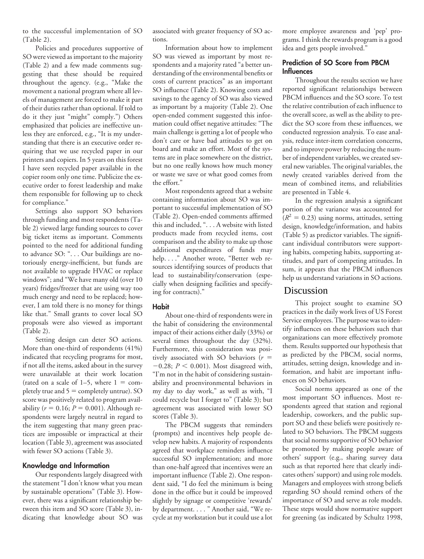to the successful implementation of SO (Table 2).

Policies and procedures supportive of SO were viewed as important to the majority (Table 2) and a few made comments suggesting that these should be required throughout the agency. (e.g., "Make the movement a national program where all levels of management are forced to make it part of their duties rather than optional. If told to do it they just "might" comply.") Others emphasized that policies are ineffective unless they are enforced, e.g., "It is my understanding that there is an executive order requiring that we use recycled paper in our printers and copiers. In 5 years on this forest I have seen recycled paper available in the copier room only one time. Publicize the executive order to forest leadership and make them responsible for following up to check for compliance."

Settings also support SO behaviors through funding and most respondents (Table 2) viewed large funding sources to cover big ticket items as important. Comments pointed to the need for additional funding to advance SO: ". . . Our buildings are notoriously energy-inefficient, but funds are not available to upgrade HVAC or replace windows"; and "We have many old (over 10 years) fridges/freezer that are using way too much energy and need to be replaced; however, I am told there is no money for things like that." Small grants to cover local SO proposals were also viewed as important (Table 2).

Setting design can deter SO actions. More than one-third of respondents (41%) indicated that recycling programs for most, if not all the items, asked about in the survey were unavailable at their work location (rated on a scale of 1–5, where  $1 = \text{com}$ pletely true and  $5 =$  completely untrue). SO score was positively related to program availability ( $r = 0.16$ ;  $P = 0.001$ ). Although respondents were largely neutral in regard to the item suggesting that many green practices are impossible or impractical at their location (Table 3), agreement was associated with fewer SO actions (Table 3).

#### **Knowledge and Information**

Our respondents largely disagreed with the statement "I don't know what you mean by sustainable operations" (Table 3). However, there was a significant relationship between this item and SO score (Table 3), indicating that knowledge about SO was

associated with greater frequency of SO actions.

Information about how to implement SO was viewed as important by most respondents and a majority rated "a better understanding of the environmental benefits or costs of current practices" as an important SO influence (Table 2). Knowing costs and savings to the agency of SO was also viewed as important by a majority (Table 2). One open-ended comment suggested this information could offset negative attitudes: "The main challenge is getting a lot of people who don't care or have bad attitudes to get on board and make an effort. Most of the systems are in place somewhere on the district, but no one really knows how much money or waste we save or what good comes from the effort."

Most respondents agreed that a website containing information about SO was important to successful implementation of SO (Table 2). Open-ended comments affirmed this and included, ". . . A website with listed products made from recycled items, cost comparison and the ability to make up those additional expenditures of funds may help. . . ." Another wrote, "Better web resources identifying sources of products that lead to sustainability/conservation (especially when designing facilities and specifying for contracts)."

#### **Habit**

About one-third of respondents were in the habit of considering the environmental impact of their actions either daily (33%) or several times throughout the day (32%). Furthermore, this consideration was positively associated with SO behaviors  $(r =$  $-0.28$ ;  $P < 0.001$ ). Most disagreed with, "I'm not in the habit of considering sustainability and proenvironmental behaviors in my day to day work," as well as with, "I could recycle but I forget to" (Table 3); but agreement was associated with lower SO scores (Table 3).

The PBCM suggests that reminders (prompts) and incentives help people develop new habits. A majority of respondents agreed that workplace reminders influence successful SO implementation; and more than one-half agreed that incentives were an important influence (Table 2). One respondent said, "I do feel the minimum is being done in the office but it could be improved slightly by signage or competitive 'rewards' by department...." Another said, "We recycle at my workstation but it could use a lot

more employee awareness and 'pep' programs. I think the rewards program is a good idea and gets people involved."

#### **Prediction of SO Score from PBCM Influences**

Throughout the results section we have reported significant relationships between PBCM influences and the SO score. To test the relative contribution of each influence to the overall score, as well as the ability to predict the SO score from these influences, we conducted regression analysis. To ease analysis, reduce inter-item correlation concerns, and to improve power by reducing the number of independent variables, we created several new variables. The original variables, the newly created variables derived from the mean of combined items, and reliabilities are presented in Table 4.

In the regression analysis a significant portion of the variance was accounted for  $(R^2 = 0.23)$  using norms, attitudes, setting design, knowledge/information, and habits (Table 5) as predictor variables. The significant individual contributors were supporting habits, competing habits, supporting attitudes, and part of competing attitudes. In sum, it appears that the PBCM influences help us understand variations in SO actions.

#### Discussion

This project sought to examine SO practices in the daily work lives of US Forest Service employees. The purpose was to identify influences on these behaviors such that organizations can more effectively promote them. Results supported our hypothesis that as predicted by the PBCM, social norms, attitudes, setting design, knowledge and information, and habit are important influences on SO behaviors.

Social norms appeared as one of the most important SO influences. Most respondents agreed that station and regional leadership, coworkers, and the public support SO and these beliefs were positively related to SO behaviors. The PBCM suggests that social norms supportive of SO behavior be promoted by making people aware of others' support (e.g., sharing survey data such as that reported here that clearly indicates others' support) and using role models. Managers and employees with strong beliefs regarding SO should remind others of the importance of SO and serve as role models. These steps would show normative support for greening (as indicated by Schultz 1998,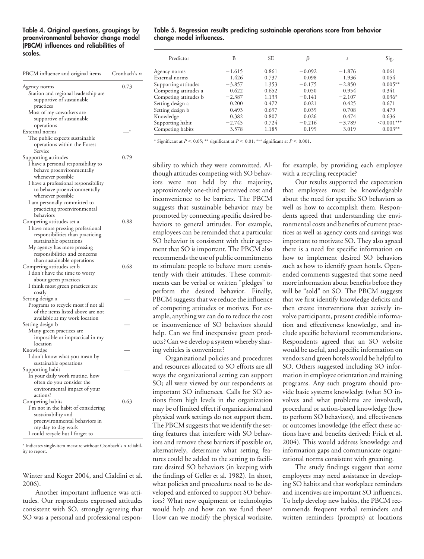## **proenvironmental behavior change model change model influences. (PBCM) influences and reliabilities of**

| PBCM influence and original items                                                                                                                                                                                                                                                      | Cronbach's o |  |
|----------------------------------------------------------------------------------------------------------------------------------------------------------------------------------------------------------------------------------------------------------------------------------------|--------------|--|
| Agency norms<br>Station and regional leadership are<br>supportive of sustainable                                                                                                                                                                                                       | 0.73         |  |
| practices<br>Most of my coworkers are<br>supportive of sustainable                                                                                                                                                                                                                     |              |  |
| operations                                                                                                                                                                                                                                                                             | a            |  |
| External norms<br>The public expects sustainable<br>operations within the Forest<br>Service                                                                                                                                                                                            |              |  |
| Supporting attitudes<br>I have a personal responsibility to<br>behave proenvironmentally<br>whenever possible<br>I have a professional responsibility<br>to behave proenvironmentally<br>whenever possible<br>I am personally committed to<br>practicing proenvironmental<br>behaviors | 0.79         |  |
| Competing attitudes set a<br>I have more pressing professional<br>responsibilities than practicing<br>sustainable operations<br>My agency has more pressing<br>responsibilities and concerns<br>than sustainable operations                                                            | 0.88         |  |
| Competing attitudes set b<br>I don't have the time to worry<br>about green practices<br>I think most green practices are<br>costly                                                                                                                                                     | 0.68         |  |
| Setting design a<br>Programs to recycle most if not all<br>of the items listed above are not<br>available at my work location                                                                                                                                                          |              |  |
| Setting design b<br>Many green practices are<br>impossible or impractical in my<br>location                                                                                                                                                                                            |              |  |
| Knowledge<br>I don't know what you mean by<br>sustainable operations                                                                                                                                                                                                                   |              |  |
| Supporting habit<br>In your daily work routine, how<br>often do you consider the<br>environmental impact of your<br>actions?                                                                                                                                                           |              |  |
| Competing habits<br>I'm not in the habit of considering<br>sustainability and<br>proenvironmental behaviors in<br>my day to day work<br>I could recycle but I forget to                                                                                                                | 0.63         |  |

<sup>a</sup> Indicates single-item measure without Cronbach's  $\alpha$  reliability to report.

Winter and Koger 2004, and Cialdini et al. 2006).

Another important influence was attitudes. Our respondents expressed attitudes consistent with SO, strongly agreeing that SO was a personal and professional respon

## Table 4. Original questions, groupings by Table 5. Regression results predicting sustainable operations score from behavior

| scales.<br>Predictor<br><b>SE</b><br>B<br>Sig.<br>β<br>$-1.615$<br>$-1.876$<br>0.861<br>$-0.092$<br>Agency norms<br>PBCM influence and original items<br>Cronbach's $\alpha$<br>1.426<br>0.737<br>1.936<br>0.098<br>External norms<br>1.353<br>$-3.857$<br>$-0.175$<br>$-2.850$<br>Supporting attitudes<br>0.73<br>Agency norms<br>0.622<br>0.652<br>0.954<br>Competing attitudes a<br>0.050<br>Station and regional leadership are<br>Competing attitudes b<br>$-2.387$<br>$-2.107$<br>1.133<br>$-0.141$<br>supportive of sustainable<br>0.472<br>0.200<br>0.425<br>0.021<br>Setting design a<br>practices<br>0.493<br>0.697<br>0.708<br>Setting design b<br>0.039<br>Most of my coworkers are<br>0.474<br>Knowledge<br>0.382<br>0.807<br>0.026<br>supportive of sustainable<br>Supporting habit<br>0.724<br>$-2.745$<br>$-0.216$<br>$-3.789$<br>operations<br>3.578<br>1.185<br>0.199<br>3.019<br>Competing habits<br>External norms |  |  |  |  |                                                                               |
|----------------------------------------------------------------------------------------------------------------------------------------------------------------------------------------------------------------------------------------------------------------------------------------------------------------------------------------------------------------------------------------------------------------------------------------------------------------------------------------------------------------------------------------------------------------------------------------------------------------------------------------------------------------------------------------------------------------------------------------------------------------------------------------------------------------------------------------------------------------------------------------------------------------------------------------|--|--|--|--|-------------------------------------------------------------------------------|
|                                                                                                                                                                                                                                                                                                                                                                                                                                                                                                                                                                                                                                                                                                                                                                                                                                                                                                                                        |  |  |  |  |                                                                               |
|                                                                                                                                                                                                                                                                                                                                                                                                                                                                                                                                                                                                                                                                                                                                                                                                                                                                                                                                        |  |  |  |  | 0.061<br>0.054                                                                |
|                                                                                                                                                                                                                                                                                                                                                                                                                                                                                                                                                                                                                                                                                                                                                                                                                                                                                                                                        |  |  |  |  | $0.005***$<br>0.341<br>$0.036*$<br>0.671<br>0.479<br>0.636<br>$\leq 0.001***$ |
|                                                                                                                                                                                                                                                                                                                                                                                                                                                                                                                                                                                                                                                                                                                                                                                                                                                                                                                                        |  |  |  |  | $0.003**$                                                                     |

\* Significant at  $P \le 0.05$ ; \*\* significant at  $P \le 0.01$ ; \*\*\* significant at  $P \le 0.001$ .

though attitudes competing with SO behav- with a recycling receptacle? iors were not held by the majority, Our results supported the expectation approximately one-third perceived cost and that employees must be knowledgeable<br>inconvenience to be barriers. The PBCM about the need for specific SO behaviors as suggests that sustainable behavior may be well as how to accomplish them. Responpromoted by connecting specific desired be- dents agreed that understanding the envihaviors to general attitudes. For example, ronmental costs and benefits of current pracemployees can be reminded that a particular tices as well as agency costs and savings was SO behavior is consistent with their agree- important to motivate SO. They also agreed ment that SO is important. The PBCM also there is a need for specific information on recommends the use of public commitments how to implement desired SO behaviors to stimulate people to behave more consis- such as how to identify green hotels. Opentently with their attitudes. These commit-<br>method comments suggested that some need<br>ments can be verbal or written "pledges" to more information about benefits before they perform the desired behavior. Finally, will be "sold" on SO. The PBCM suggests PBCM suggests that we reduce the influence that we first identify knowledge deficits and of competing attitudes or motives. For ex- then create interventions that actively inample, anything we can do to reduce the cost volve participants, present credible informaor inconvenience of SO behaviors should tion and effectiveness knowledge, and inhelp. Can we find inexpensive green prod-<br>clude specific behavioral recommendations. ucts? Can we develop a system whereby shar- Respondents agreed that an SO website

and resources allocated to SO efforts are all SO. Others suggested including SO inforways the organizational setting can support mation in employee orientation and training SO; all were viewed by our respondents as programs. Any such program should proimportant SO influences. Calls for SO ac- vide basic systems knowledge (what SO intions from high levels in the organization volves and what problems are involved), may be of limited effect if organizational and procedural or action-based knowledge (how physical work settings do not support them. to perform SO behaviors), and effectiveness The PBCM suggests that we identify the set- or outcomes knowledge (the effect these ac-<br>ting features that interfere with SO behav- tions have and benefits derived; Frick et al. ting features that interfere with SO behaviors and remove these barriers if possible or, 2004). This would address knowledge and alternatively, determine what setting fea- information gaps and communicate organitures could be added to the setting to facili- zational norms consistent with greening. tate desired SO behaviors (in keeping with The study findings suggest that some

sibility to which they were committed. Al- for example, by providing each employee

about the need for specific SO behaviors as more information about benefits before they ing vehicles is convenient? would be useful, and specific information on Organizational policies and procedures vendors and green hotels would be helpful to

the findings of Geller et al. 1982). In short, employees may need assistance in developwhat policies and procedures need to be de- ing SO habits and that workplace reminders veloped and enforced to support SO behav- and incentives are important SO influences. iors? What new equipment or technologies To help develop new habits, the PBCM rec-<br>would help and how can we fund these? ommends frequent verbal reminders and ommends frequent verbal reminders and How can we modify the physical worksite, written reminders (prompts) at locations